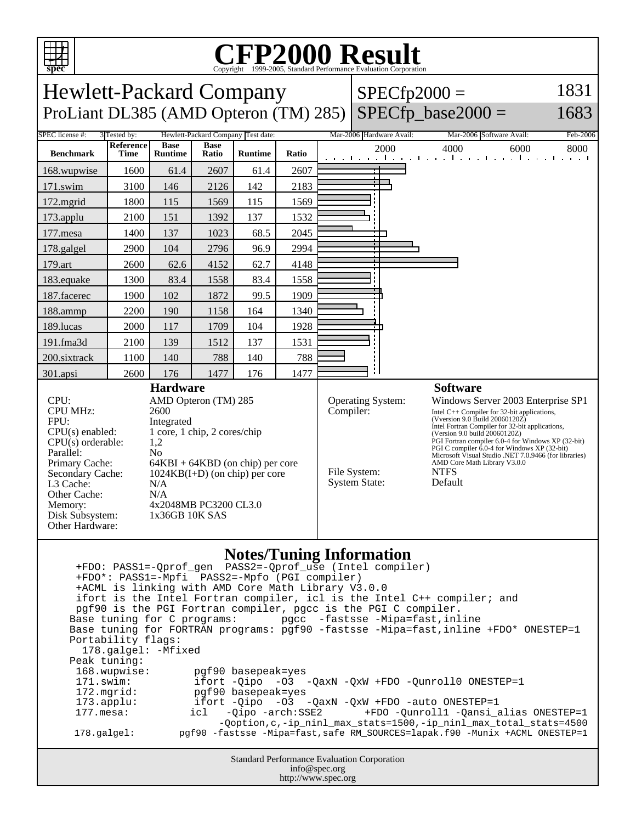

## C<sub>opyright</sub> ©1999-2005, Standard Performance Evaluation Corporation

| spec                                                                                                                                                                                                                                                                                                                                                                                                                                                                                                                                                                                                                                                                                                                                                                                                                                                                                                                                                                                         |                                      |                               |                      | Copyright ©1999-2005, Standard Performance Evaluation Corporation |                                                                                                                                                                                                                                                                                                                                                                                                                                                                                                              |  |  |                          |                                                                 |          |
|----------------------------------------------------------------------------------------------------------------------------------------------------------------------------------------------------------------------------------------------------------------------------------------------------------------------------------------------------------------------------------------------------------------------------------------------------------------------------------------------------------------------------------------------------------------------------------------------------------------------------------------------------------------------------------------------------------------------------------------------------------------------------------------------------------------------------------------------------------------------------------------------------------------------------------------------------------------------------------------------|--------------------------------------|-------------------------------|----------------------|-------------------------------------------------------------------|--------------------------------------------------------------------------------------------------------------------------------------------------------------------------------------------------------------------------------------------------------------------------------------------------------------------------------------------------------------------------------------------------------------------------------------------------------------------------------------------------------------|--|--|--------------------------|-----------------------------------------------------------------|----------|
| 1831<br>Hewlett-Packard Company<br>$SPECfp2000 =$                                                                                                                                                                                                                                                                                                                                                                                                                                                                                                                                                                                                                                                                                                                                                                                                                                                                                                                                            |                                      |                               |                      |                                                                   |                                                                                                                                                                                                                                                                                                                                                                                                                                                                                                              |  |  |                          |                                                                 |          |
| ProLiant DL385 (AMD Opteron (TM) 285)                                                                                                                                                                                                                                                                                                                                                                                                                                                                                                                                                                                                                                                                                                                                                                                                                                                                                                                                                        |                                      |                               |                      |                                                                   |                                                                                                                                                                                                                                                                                                                                                                                                                                                                                                              |  |  |                          | $SPECfp\_base2000 =$                                            | 1683     |
| SPEC license #:                                                                                                                                                                                                                                                                                                                                                                                                                                                                                                                                                                                                                                                                                                                                                                                                                                                                                                                                                                              | 3 Tested by:                         |                               |                      | Hewlett-Packard Company Test date:                                |                                                                                                                                                                                                                                                                                                                                                                                                                                                                                                              |  |  | Mar-2006 Hardware Avail: | Mar-2006 Software Avail:                                        | Feb-2006 |
| <b>Benchmark</b>                                                                                                                                                                                                                                                                                                                                                                                                                                                                                                                                                                                                                                                                                                                                                                                                                                                                                                                                                                             | Reference<br><b>Time</b>             | <b>Base</b><br><b>Runtime</b> | <b>Base</b><br>Ratio | <b>Runtime</b>                                                    | Ratio                                                                                                                                                                                                                                                                                                                                                                                                                                                                                                        |  |  | 2000                     | 4000<br>6000<br>المتوجا وتوجا وتوجا وتوجا وتوجا وتوجا وتوجا وتو | 8000     |
| 168.wupwise                                                                                                                                                                                                                                                                                                                                                                                                                                                                                                                                                                                                                                                                                                                                                                                                                                                                                                                                                                                  | 1600                                 | 61.4                          | 2607                 | 61.4                                                              | 2607                                                                                                                                                                                                                                                                                                                                                                                                                                                                                                         |  |  |                          |                                                                 |          |
| 171.swim                                                                                                                                                                                                                                                                                                                                                                                                                                                                                                                                                                                                                                                                                                                                                                                                                                                                                                                                                                                     | 3100                                 | 146                           | 2126                 | 142                                                               | 2183                                                                                                                                                                                                                                                                                                                                                                                                                                                                                                         |  |  |                          |                                                                 |          |
| 172.mgrid                                                                                                                                                                                                                                                                                                                                                                                                                                                                                                                                                                                                                                                                                                                                                                                                                                                                                                                                                                                    | 1800                                 | 115                           | 1569                 | 115                                                               | 1569                                                                                                                                                                                                                                                                                                                                                                                                                                                                                                         |  |  |                          |                                                                 |          |
| 173.applu                                                                                                                                                                                                                                                                                                                                                                                                                                                                                                                                                                                                                                                                                                                                                                                                                                                                                                                                                                                    | 2100                                 | 151                           | 1392                 | 137                                                               | 1532                                                                                                                                                                                                                                                                                                                                                                                                                                                                                                         |  |  |                          |                                                                 |          |
| 177.mesa                                                                                                                                                                                                                                                                                                                                                                                                                                                                                                                                                                                                                                                                                                                                                                                                                                                                                                                                                                                     | 1400                                 | 137                           | 1023                 | 68.5                                                              | 2045                                                                                                                                                                                                                                                                                                                                                                                                                                                                                                         |  |  |                          |                                                                 |          |
| 178.galgel                                                                                                                                                                                                                                                                                                                                                                                                                                                                                                                                                                                                                                                                                                                                                                                                                                                                                                                                                                                   | 2900                                 | 104                           | 2796                 | 96.9                                                              | 2994                                                                                                                                                                                                                                                                                                                                                                                                                                                                                                         |  |  |                          |                                                                 |          |
| 179.art                                                                                                                                                                                                                                                                                                                                                                                                                                                                                                                                                                                                                                                                                                                                                                                                                                                                                                                                                                                      | 2600                                 | 62.6                          | 4152                 | 62.7                                                              | 4148                                                                                                                                                                                                                                                                                                                                                                                                                                                                                                         |  |  |                          |                                                                 |          |
| 183.equake                                                                                                                                                                                                                                                                                                                                                                                                                                                                                                                                                                                                                                                                                                                                                                                                                                                                                                                                                                                   | 1300                                 | 83.4                          | 1558                 | 83.4                                                              | 1558                                                                                                                                                                                                                                                                                                                                                                                                                                                                                                         |  |  |                          |                                                                 |          |
| 187.facerec                                                                                                                                                                                                                                                                                                                                                                                                                                                                                                                                                                                                                                                                                                                                                                                                                                                                                                                                                                                  | 1900                                 | 102                           | 1872                 | 99.5                                                              | 1909                                                                                                                                                                                                                                                                                                                                                                                                                                                                                                         |  |  |                          |                                                                 |          |
| 188.ammp                                                                                                                                                                                                                                                                                                                                                                                                                                                                                                                                                                                                                                                                                                                                                                                                                                                                                                                                                                                     | 2200                                 | 190                           | 1158                 | 164                                                               | 1340                                                                                                                                                                                                                                                                                                                                                                                                                                                                                                         |  |  |                          |                                                                 |          |
| 189.lucas                                                                                                                                                                                                                                                                                                                                                                                                                                                                                                                                                                                                                                                                                                                                                                                                                                                                                                                                                                                    | 2000                                 | 117                           | 1709                 | 104                                                               | 1928                                                                                                                                                                                                                                                                                                                                                                                                                                                                                                         |  |  |                          |                                                                 |          |
| 191.fma3d                                                                                                                                                                                                                                                                                                                                                                                                                                                                                                                                                                                                                                                                                                                                                                                                                                                                                                                                                                                    | 2100                                 | 139                           | 1512                 | 137                                                               | 1531                                                                                                                                                                                                                                                                                                                                                                                                                                                                                                         |  |  |                          |                                                                 |          |
| 200.sixtrack                                                                                                                                                                                                                                                                                                                                                                                                                                                                                                                                                                                                                                                                                                                                                                                                                                                                                                                                                                                 | 1100                                 | 140                           | 788                  | 140                                                               | 788                                                                                                                                                                                                                                                                                                                                                                                                                                                                                                          |  |  |                          |                                                                 |          |
| 301.apsi                                                                                                                                                                                                                                                                                                                                                                                                                                                                                                                                                                                                                                                                                                                                                                                                                                                                                                                                                                                     | 2600                                 | 176                           | 1477                 | 176                                                               | 1477                                                                                                                                                                                                                                                                                                                                                                                                                                                                                                         |  |  |                          |                                                                 |          |
| CPU:<br>AMD Opteron (TM) 285<br><b>CPU MHz:</b><br>2600<br>FPU:<br>Integrated<br>1 core, 1 chip, 2 cores/chip<br>$CPU(s)$ enabled:<br>$CPU(s)$ orderable:<br>1,2<br>Parallel:<br>N <sub>0</sub><br>Primary Cache:<br>64KBI + 64KBD (on chip) per core<br>Secondary Cache:<br>$1024KB(I+D)$ (on chip) per core<br>L3 Cache:<br>N/A<br>Other Cache:<br>N/A<br>4x2048MB PC3200 CL3.0<br>Memory:<br>Disk Subsystem:<br>1x36GB 10K SAS<br>Other Hardware:                                                                                                                                                                                                                                                                                                                                                                                                                                                                                                                                         |                                      |                               |                      |                                                                   | Operating System:<br>Windows Server 2003 Enterprise SP1<br>Compiler:<br>Intel $C++$ Compiler for 32-bit applications,<br>(Vversion 9.0 Build 20060120Z)<br>Intel Fortran Compiler for 32-bit applications,<br>(Version 9.0 build 20060120Z)<br>PGI Fortran compiler 6.0-4 for Windows XP (32-bit)<br>PGI C compiler 6.0-4 for Windows XP (32-bit)<br>Microsoft Visual Studio .NET 7.0.9466 (for libraries)<br>AMD Core Math Library V3.0.0<br>File System:<br><b>NTFS</b><br><b>System State:</b><br>Default |  |  |                          |                                                                 |          |
| <b>Notes/Tuning Information</b><br>+ACML is linking with AMD Core Math Library V3.0.0<br>ifort is the Intel Fortran compiler, icl is the Intel C++ compiler; and<br>pgf90 is the PGI Fortran compiler, pgcc is the PGI C compiler.<br>Base tuning for C programs: pgcc -fastsse -Mipa=fast, inline<br>Base tuning for FORTRAN programs: pgf90 -fastsse -Mipa=fast, inline +FDO* ONESTEP=1<br>Portability flags:<br>178.galgel: - Mfixed<br>Peak tuning:<br>168.wupwise:<br>pgf90 basepeak=yes<br>171.swim:<br>ifort -Qipo -03 -QaxN -QxW +FDO -Qunroll0 ONESTEP=1<br>172.mgrid:<br>pgf90 basepeak=yes<br>ifort -Qipo -03 -QaxN -QxW +FDO -auto ONESTEP=1<br>$173.\text{applu}:$<br>$177.\text{mesa}$ :<br>-Qipo -arch:SSE2<br>+FDO -Qunroll1 -Qansi_alias ONESTEP=1<br>icl<br>-Qoption, c,-ip_ninl_max_stats=1500,-ip_ninl_max_total_stats=4500<br>pgf90 -fastsse -Mipa=fast, safe RM_SOURCES=lapak.f90 -Munix +ACML ONESTEP=1<br>178.galgel:<br>Standard Performance Evaluation Corporation |                                      |                               |                      |                                                                   |                                                                                                                                                                                                                                                                                                                                                                                                                                                                                                              |  |  |                          |                                                                 |          |
|                                                                                                                                                                                                                                                                                                                                                                                                                                                                                                                                                                                                                                                                                                                                                                                                                                                                                                                                                                                              | info@spec.org<br>http://www.spec.org |                               |                      |                                                                   |                                                                                                                                                                                                                                                                                                                                                                                                                                                                                                              |  |  |                          |                                                                 |          |